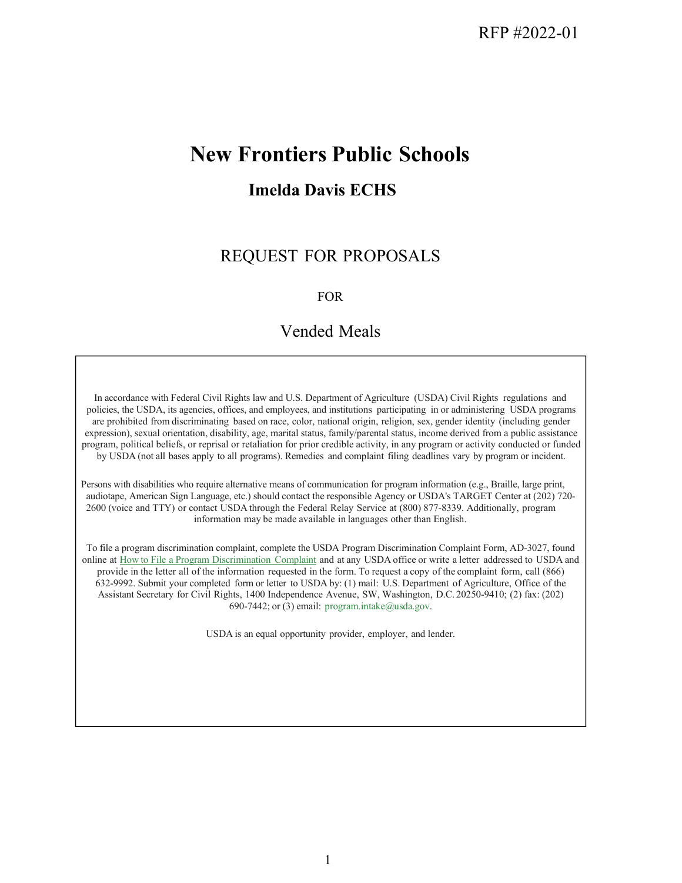# **New Frontiers Public Schools**

# **Imelda Davis ECHS**

# REQUEST FOR PROPOSALS

#### FOR

## Vended Meals

In accordance with Federal Civil Rights law and U.S. Department of Agriculture (USDA) Civil Rights regulations and policies, the USDA, its agencies, offices, and employees, and institutions participating in or administering USDA programs are prohibited from discriminating based on race, color, national origin, religion, sex, gender identity (including gender expression), sexual orientation, disability, age, marital status, family/parental status, income derived from a public assistance program, political beliefs, or reprisal or retaliation for prior credible activity, in any program or activity conducted or funded by USDA (not all bases apply to all programs). Remedies and complaint filing deadlines vary by program or incident.

Persons with disabilities who require alternative means of communication for program information (e.g., Braille, large print, audiotape, American Sign Language, etc.) should contact the responsible Agency or USDA's TARGET Center at (202) 720- 2600 (voice and TTY) or contact USDA through the Federal Relay Service at (800) 877-8339. Additionally, program information may be made available in languages other than English.

To file a program discrimination complaint, complete the USDA Program Discrimination Complaint Form, AD-3027, found online at How to File a Program Discrimination Complaint and at any USDA office or write a letter addressed to USDA and provide in the letter all of the information requested in the form. To request a copy of the complaint form, call (866) 632-9992. Submit your completed form or letter to USDA by: (1) mail: U.S. Department of Agriculture, Office of the Assistant Secretary for Civil Rights, 1400 Independence Avenue, SW, Washington, D.C. 20250-9410; (2) fax: (202) 690-7442; or (3) email: [program.intake@usda.gov.](mailto:program.intake@usda.gov)

USDA is an equal opportunity provider, employer, and lender.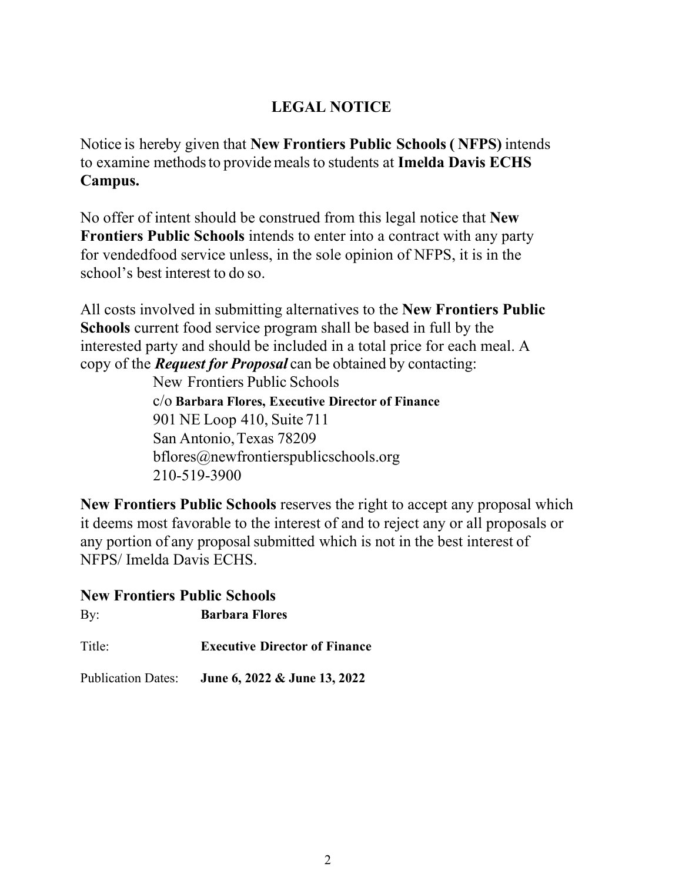# **LEGAL NOTICE**

Notice is hereby given that **New Frontiers Public Schools ( NFPS)** intends to examine methodsto providemeals to students at **Imelda Davis ECHS Campus.** 

No offer of intent should be construed from this legal notice that **New Frontiers Public Schools** intends to enter into a contract with any party for vendedfood service unless, in the sole opinion of NFPS, it is in the school's best interest to do so.

All costs involved in submitting alternatives to the **New Frontiers Public Schools** current food service program shall be based in full by the interested party and should be included in a total price for each meal. A copy of the *Request for Proposal* can be obtained by contacting:

New Frontiers Public Schools

c/o **Barbara Flores, Executive Director of Finance** 901 NE Loop 410, Suite 711 San Antonio,Texas 78209 [bflores@newfrontierspublicschools.org](mailto:bflores@newfrontierspublicschools.org) 210-519-3900

**New Frontiers Public Schools** reserves the right to accept any proposal which it deems most favorable to the interest of and to reject any or all proposals or any portion of any proposal submitted which is not in the best interest of NFPS/ Imelda Davis ECHS.

### **New Frontiers Public Schools**

By: **Barbara Flores** 

Title: **Executive Director of Finance** 

Publication Dates: **June 6, 2022 & June 13, 2022**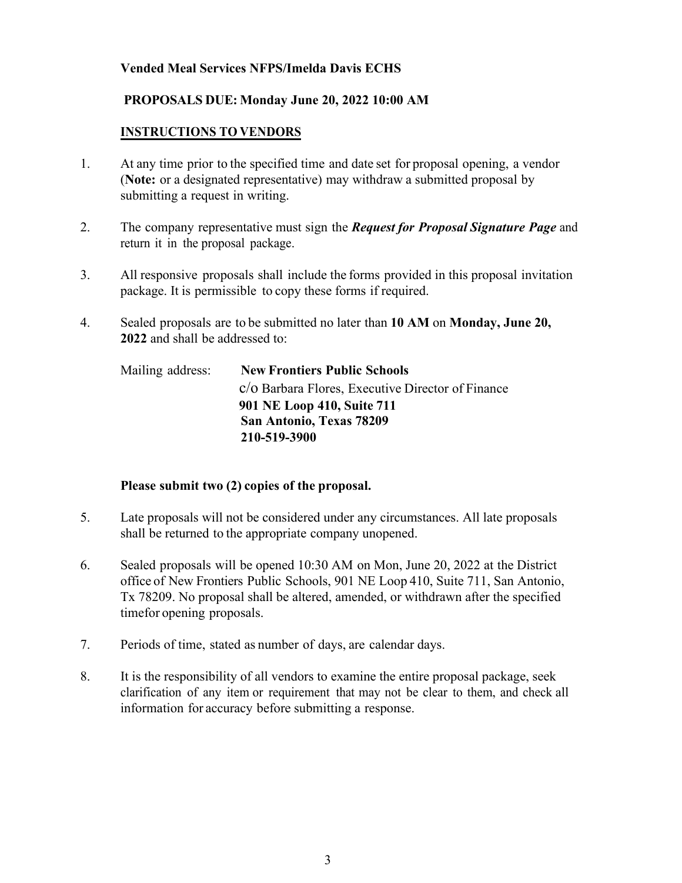#### **Vended Meal Services NFPS/Imelda Davis ECHS**

#### **PROPOSALS DUE: Monday June 20, 2022 10:00 AM**

#### **INSTRUCTIONS TO VENDORS**

- 1. At any time prior to the specified time and date set for proposal opening, a vendor (**Note:** or a designated representative) may withdraw a submitted proposal by submitting a request in writing.
- 2. The company representative must sign the *Request for Proposal Signature Page* and return it in the proposal package.
- 3. All responsive proposals shall include the forms provided in this proposal invitation package. It is permissible to copy these forms if required.
- 4. Sealed proposals are to be submitted no later than **10 AM** on **Monday, June 20, 2022** and shall be addressed to:

| Mailing address: | <b>New Frontiers Public Schools</b>               |
|------------------|---------------------------------------------------|
|                  | c/o Barbara Flores, Executive Director of Finance |
|                  | 901 NE Loop 410, Suite 711                        |
|                  | San Antonio, Texas 78209                          |
|                  | 210-519-3900                                      |

#### **Please submit two (2) copies of the proposal.**

- 5. Late proposals will not be considered under any circumstances. All late proposals shall be returned to the appropriate company unopened.
- 6. Sealed proposals will be opened 10:30 AM on Mon, June 20, 2022 at the District office of New Frontiers Public Schools, 901 NE Loop 410, Suite 711, San Antonio, Tx 78209. No proposal shall be altered, amended, or withdrawn after the specified timefor opening proposals.
- 7. Periods of time, stated as number of days, are calendar days.
- 8. It is the responsibility of all vendors to examine the entire proposal package, seek clarification of any item or requirement that may not be clear to them, and check all information for accuracy before submitting a response.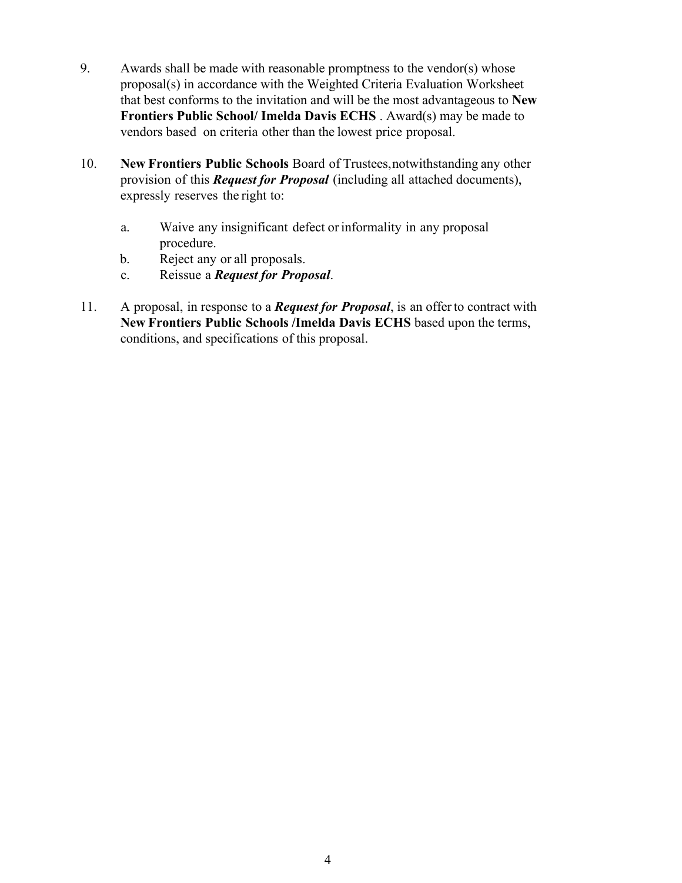- 9. Awards shall be made with reasonable promptness to the vendor(s) whose proposal(s) in accordance with the Weighted Criteria Evaluation Worksheet that best conforms to the invitation and will be the most advantageous to **New Frontiers Public School/ Imelda Davis ECHS** . Award(s) may be made to vendors based on criteria other than the lowest price proposal.
- 10. **New Frontiers Public Schools** Board of Trustees,notwithstanding any other provision of this *Request for Proposal* (including all attached documents), expressly reserves the right to:
	- a. Waive any insignificant defect or informality in any proposal procedure.
	- b. Reject any or all proposals.
	- c. Reissue a *Request for Proposal*.
- 11. A proposal, in response to a *Request for Proposal*, is an offerto contract with **New Frontiers Public Schools /Imelda Davis ECHS** based upon the terms, conditions, and specifications of this proposal.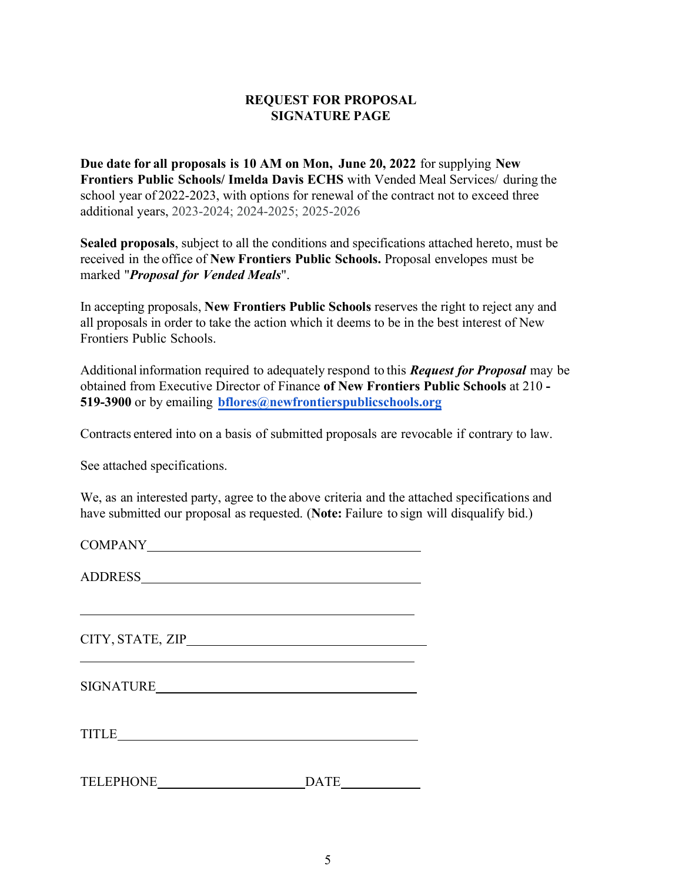#### **REQUEST FOR PROPOSAL SIGNATURE PAGE**

**Due date for all proposals is 10 AM on Mon, June 20, 2022** for supplying **New Frontiers Public Schools/ Imelda Davis ECHS** with Vended Meal Services/ during the school year of 2022-2023, with options for renewal of the contract not to exceed three additional years, 2023-2024; 2024-2025; 2025-2026

**Sealed proposals**, subject to all the conditions and specifications attached hereto, must be received in the office of **New Frontiers Public Schools.** Proposal envelopes must be marked "*Proposal for Vended Meals*".

In accepting proposals, **New Frontiers Public Schools** reserves the right to reject any and all proposals in order to take the action which it deems to be in the best interest of New Frontiers Public Schools.

Additional information required to adequately respond to this *Request for Proposal* may be obtained from Executive Director of Finance **of New Frontiers Public Schools** at 210 **- 519-3900** or by emailing **[bflores@newfrontierspublicschools.org](mailto:bflores@newfrontierspublicschools.org)**

Contracts entered into on a basis of submitted proposals are revocable if contrary to law.

See attached specifications.

We, as an interested party, agree to the above criteria and the attached specifications and have submitted our proposal as requested. (**Note:** Failure to sign will disqualify bid.)

COMPANY

ADDRESS

CITY, STATE, ZIP

TITLE

TELEPHONE DATE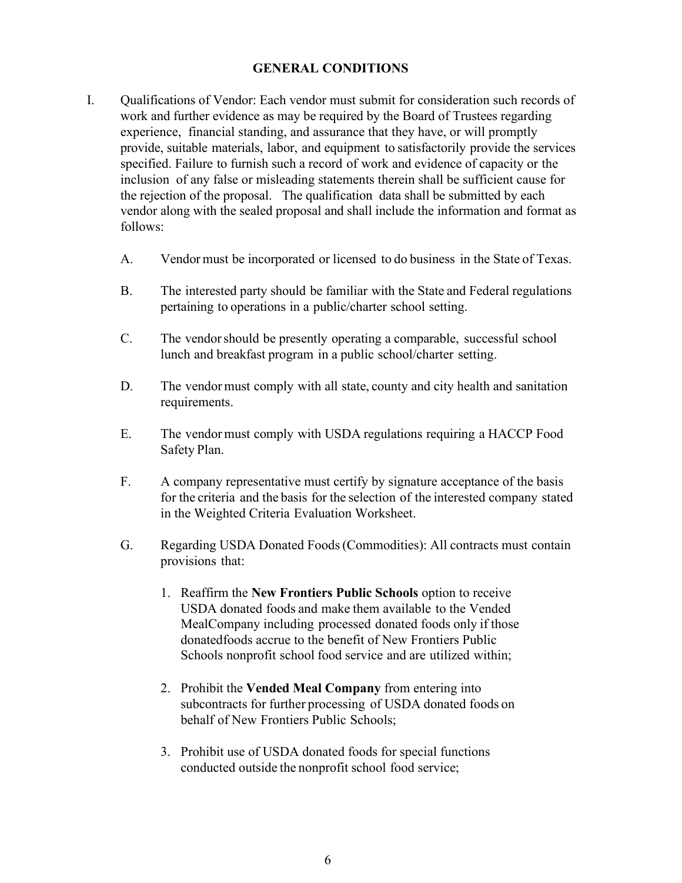#### **GENERAL CONDITIONS**

- I. Qualifications of Vendor: Each vendor must submit for consideration such records of work and further evidence as may be required by the Board of Trustees regarding experience, financial standing, and assurance that they have, or will promptly provide, suitable materials, labor, and equipment to satisfactorily provide the services specified. Failure to furnish such a record of work and evidence of capacity or the inclusion of any false or misleading statements therein shall be sufficient cause for the rejection of the proposal. The qualification data shall be submitted by each vendor along with the sealed proposal and shall include the information and format as follows:
	- A. Vendor must be incorporated or licensed to do business in the State of Texas.
	- B. The interested party should be familiar with the State and Federal regulations pertaining to operations in a public/charter school setting.
	- C. The vendor should be presently operating a comparable, successful school lunch and breakfast program in a public school/charter setting.
	- D. The vendor must comply with all state, county and city health and sanitation requirements.
	- E. The vendor must comply with USDA regulations requiring a HACCP Food Safety Plan.
	- F. A company representative must certify by signature acceptance of the basis for the criteria and the basis for the selection of the interested company stated in the Weighted Criteria Evaluation Worksheet.
	- G. Regarding USDA Donated Foods (Commodities): All contracts must contain provisions that:
		- 1. Reaffirm the **New Frontiers Public Schools** option to receive USDA donated foods and make them available to the Vended Meal Company including processed donated foods only if those donated foods accrue to the benefit of New Frontiers Public Schools nonprofit school food service and are utilized within;
		- 2. Prohibit the **Vended Meal Company** from entering into subcontracts for further processing of USDA donated foods on behalf of New Frontiers Public Schools;
		- 3. Prohibit use of USDA donated foods for special functions conducted outside the nonprofit school food service;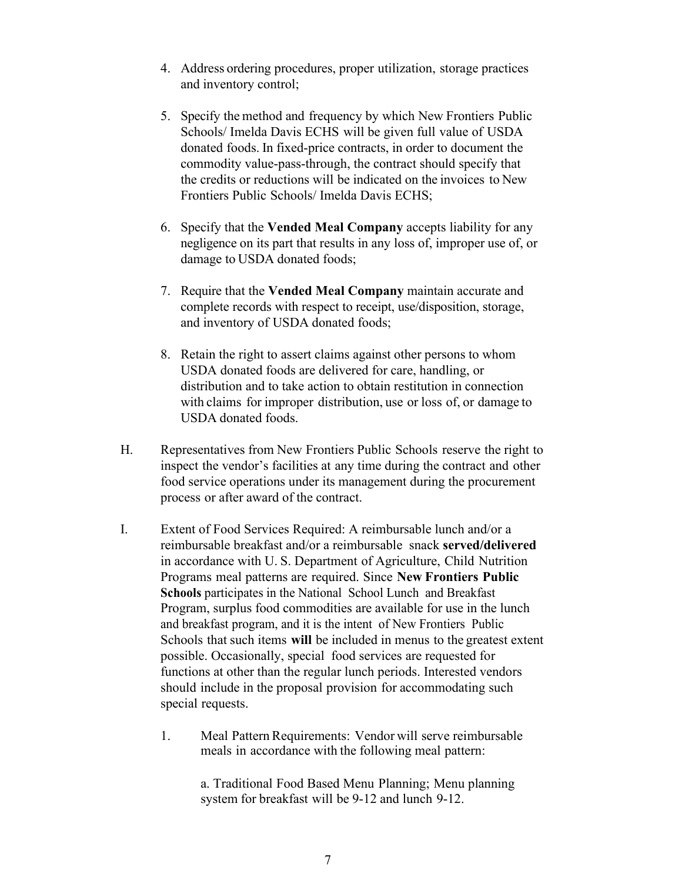- 4. Address ordering procedures, proper utilization, storage practices and inventory control;
- 5. Specify the method and frequency by which New Frontiers Public Schools/ Imelda Davis ECHS will be given full value of USDA donated foods. In fixed-price contracts, in order to document the commodity value-pass-through, the contract should specify that the credits or reductions will be indicated on the invoices to New Frontiers Public Schools/ Imelda Davis ECHS;
- 6. Specify that the **Vended Meal Company** accepts liability for any negligence on its part that results in any loss of, improper use of, or damage to USDA donated foods;
- 7. Require that the **Vended Meal Company** maintain accurate and complete records with respect to receipt, use/disposition, storage, and inventory of USDA donated foods;
- 8. Retain the right to assert claims against other persons to whom USDA donated foods are delivered for care, handling, or distribution and to take action to obtain restitution in connection with claims for improper distribution, use or loss of, or damage to USDA donated foods.
- H. Representatives from New Frontiers Public Schools reserve the right to inspect the vendor's facilities at any time during the contract and other food service operations under its management during the procurement process or after award of the contract.
- I. Extent of Food Services Required: A reimbursable lunch and/or a reimbursable breakfast and/or a reimbursable snack **served/delivered** in accordance with U. S. Department of Agriculture, Child Nutrition Programs meal patterns are required. Since **New Frontiers Public Schools** participates in the National School Lunch and Breakfast Program, surplus food commodities are available for use in the lunch and breakfast program, and it is the intent of New Frontiers Public Schools that such items **will** be included in menus to the greatest extent possible. Occasionally, special food services are requested for functions at other than the regular lunch periods. Interested vendors should include in the proposal provision for accommodating such special requests.
	- 1. Meal Pattern Requirements: Vendor will serve reimbursable meals in accordance with the following meal pattern:

a. Traditional Food Based Menu Planning; Menu planning system for breakfast will be 9-12 and lunch 9-12.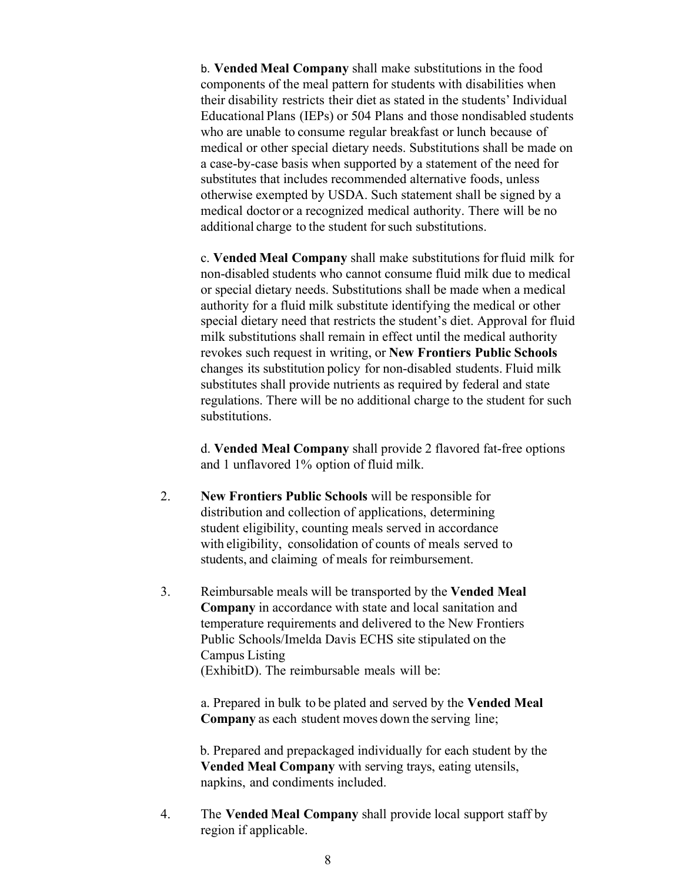b. **Vended Meal Company** shall make substitutions in the food components of the meal pattern for students with disabilities when their disability restricts their diet as stated in the students' Individual Educational Plans (IEPs) or 504 Plans and those nondisabled students who are unable to consume regular breakfast or lunch because of medical or other special dietary needs. Substitutions shall be made on a case-by-case basis when supported by a statement of the need for substitutes that includes recommended alternative foods, unless otherwise exempted by USDA. Such statement shall be signed by a medical doctor or a recognized medical authority. There will be no additional charge to the student for such substitutions.

c. **Vended Meal Company** shall make substitutions forfluid milk for non-disabled students who cannot consume fluid milk due to medical or special dietary needs. Substitutions shall be made when a medical authority for a fluid milk substitute identifying the medical or other special dietary need that restricts the student's diet. Approval for fluid milk substitutions shall remain in effect until the medical authority revokes such request in writing, or **New Frontiers Public Schools** changes its substitution policy for non-disabled students. Fluid milk substitutes shall provide nutrients as required by federal and state regulations. There will be no additional charge to the student for such substitutions.

d. **Vended Meal Company** shall provide 2 flavored fat-free options and 1 unflavored 1% option of fluid milk.

- 2. **New Frontiers Public Schools** will be responsible for distribution and collection of applications, determining student eligibility, counting meals served in accordance with eligibility, consolidation of counts of meals served to students, and claiming of meals for reimbursement.
- 3. Reimbursable meals will be transported by the **Vended Meal Company** in accordance with state and local sanitation and temperature requirements and delivered to the New Frontiers Public Schools/Imelda Davis ECHS site stipulated on the Campus Listing (ExhibitD). The reimbursable meals will be:

a. Prepared in bulk to be plated and served by the **Vended Meal Company** as each student moves down the serving line;

b. Prepared and prepackaged individually for each student by the **Vended Meal Company** with serving trays, eating utensils, napkins, and condiments included.

4. The **Vended Meal Company** shall provide local support staff by region if applicable.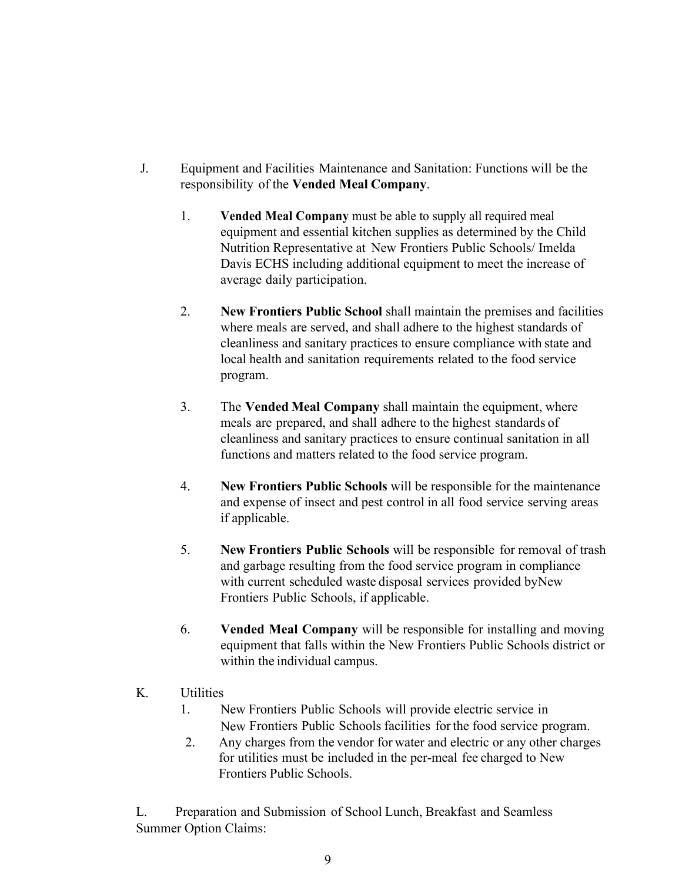- J. Equipment and Facilities Maintenance and Sanitation: Functions will be the responsibility of the **Vended Meal Company**.
	- 1. **Vended Meal Company** must be able to supply all required meal equipment and essential kitchen supplies as determined by the Child Nutrition Representative at New Frontiers Public Schools/ Imelda Davis ECHS including additional equipment to meet the increase of average daily participation.
	- 2. **New Frontiers Public School** shall maintain the premises and facilities where meals are served, and shall adhere to the highest standards of cleanliness and sanitary practices to ensure compliance with state and local health and sanitation requirements related to the food service program.
	- 3. The **Vended Meal Company** shall maintain the equipment, where meals are prepared, and shall adhere to the highest standards of cleanliness and sanitary practices to ensure continual sanitation in all functions and matters related to the food service program.
	- 4. **New Frontiers Public Schools** will be responsible for the maintenance and expense of insect and pest control in all food service serving areas if applicable.
	- 5. **New Frontiers Public Schools** will be responsible for removal of trash and garbage resulting from the food service program in compliance with current scheduled waste disposal services provided by New Frontiers Public Schools, if applicable.
	- 6. **Vended Meal Company** will be responsible for installing and moving equipment that falls within the New Frontiers Public Schools district or within the individual campus.
- K. Utilities
	- 1. New Frontiers Public Schools will provide electric service in New Frontiers Public Schools facilities forthe food service program.
	- 2. Any charges from the vendor for water and electric or any other charges for utilities must be included in the per-meal fee charged to New Frontiers Public Schools.

L. Preparation and Submission of School Lunch, Breakfast and Seamless Summer Option Claims: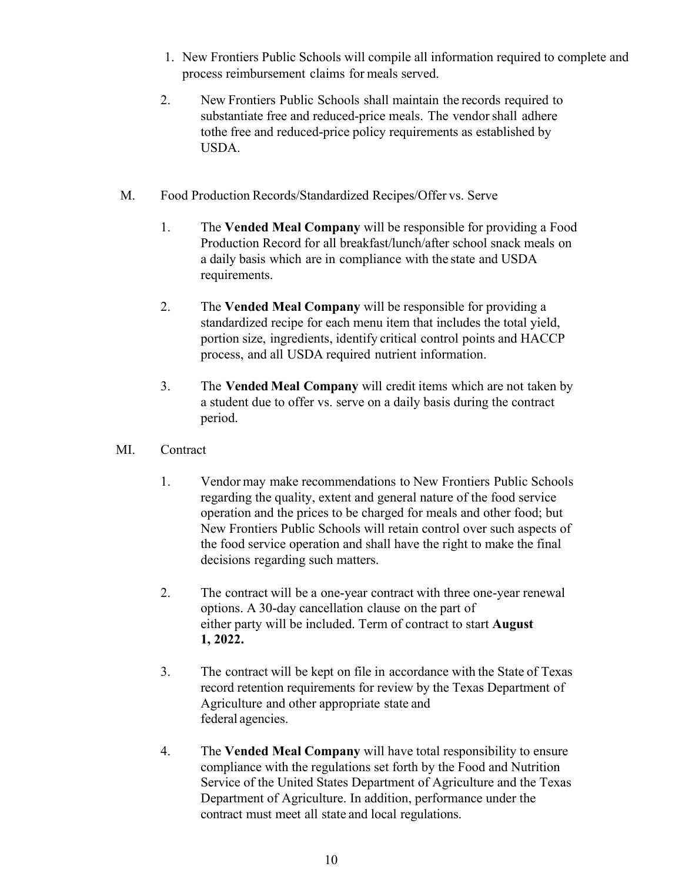- 1. New Frontiers Public Schools will compile all information required to complete and process reimbursement claims for meals served.
- 2. New Frontiers Public Schools shall maintain the records required to substantiate free and reduced-price meals. The vendor shall adhere tothe free and reduced-price policy requirements as established by USDA.
- M. Food Production Records/Standardized Recipes/Offer vs. Serve
	- 1. The **Vended Meal Company** will be responsible for providing a Food Production Record for all breakfast/lunch/after school snack meals on a daily basis which are in compliance with the state and USDA requirements.
	- 2. The **Vended Meal Company** will be responsible for providing a standardized recipe for each menu item that includes the total yield, portion size, ingredients, identify critical control points and HACCP process, and all USDA required nutrient information.
	- 3. The **Vended Meal Company** will credit items which are not taken by a student due to offer vs. serve on a daily basis during the contract period.
- MI. Contract
	- 1. Vendor may make recommendations to New Frontiers Public Schools regarding the quality, extent and general nature of the food service operation and the prices to be charged for meals and other food; but New Frontiers Public Schools will retain control over such aspects of the food service operation and shall have the right to make the final decisions regarding such matters.
	- 2. The contract will be a one-year contract with three one-year renewal options. A 30-day cancellation clause on the part of either party will be included. Term of contract to start **August 1, 2022.**
	- 3. The contract will be kept on file in accordance with the State of Texas record retention requirements for review by the Texas Department of Agriculture and other appropriate state and federal agencies.
	- 4. The **Vended Meal Company** will have total responsibility to ensure compliance with the regulations set forth by the Food and Nutrition Service of the United States Department of Agriculture and the Texas Department of Agriculture. In addition, performance under the contract must meet all state and local regulations.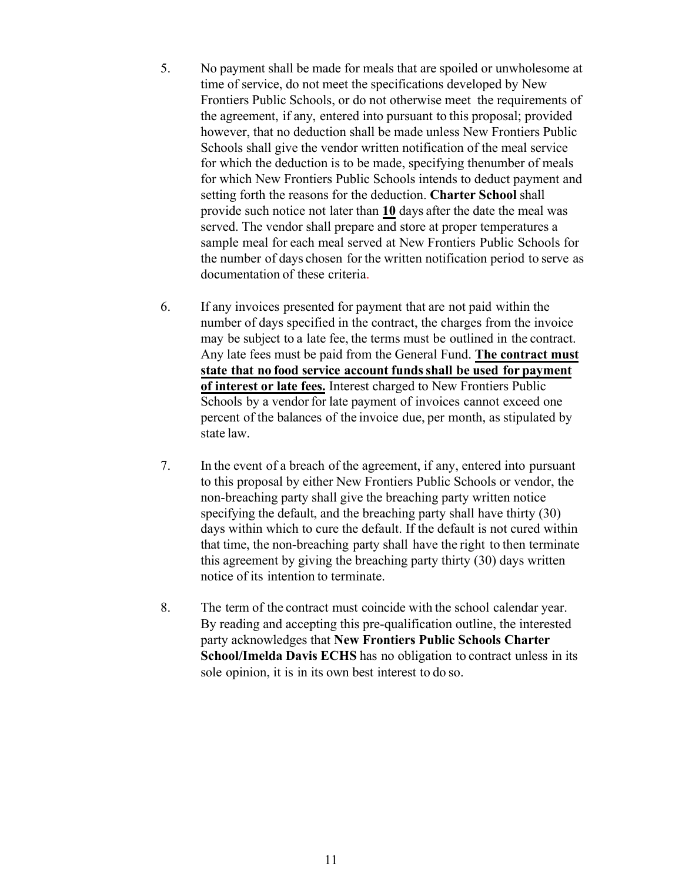- 5. No payment shall be made for meals that are spoiled or unwholesome at time of service, do not meet the specifications developed by New Frontiers Public Schools, or do not otherwise meet the requirements of the agreement, if any, entered into pursuant to this proposal; provided however, that no deduction shall be made unless New Frontiers Public Schools shall give the vendor written notification of the meal service for which the deduction is to be made, specifying the number of meals for which New Frontiers Public Schools intends to deduct payment and setting forth the reasons for the deduction. **Charter School** shall provide such notice not later than **10** days after the date the meal was served. The vendor shall prepare and store at proper temperatures a sample meal for each meal served at New Frontiers Public Schools for the number of days chosen for the written notification period to serve as documentation of these criteria.
- 6. If any invoices presented for payment that are not paid within the number of days specified in the contract, the charges from the invoice may be subject to a late fee, the terms must be outlined in the contract. Any late fees must be paid from the General Fund. **The contract must state that no food service account fundsshall be used for payment of interest or late fees.** Interest charged to New Frontiers Public Schools by a vendor for late payment of invoices cannot exceed one percent of the balances of the invoice due, per month, as stipulated by state law.
- 7. In the event of a breach of the agreement, if any, entered into pursuant to this proposal by either New Frontiers Public Schools or vendor, the non-breaching party shall give the breaching party written notice specifying the default, and the breaching party shall have thirty (30) days within which to cure the default. If the default is not cured within that time, the non-breaching party shall have the right to then terminate this agreement by giving the breaching party thirty (30) days written notice of its intention to terminate.
- 8. The term of the contract must coincide with the school calendar year. By reading and accepting this pre-qualification outline, the interested party acknowledges that **New Frontiers Public Schools Charter School/Imelda Davis ECHS** has no obligation to contract unless in its sole opinion, it is in its own best interest to do so.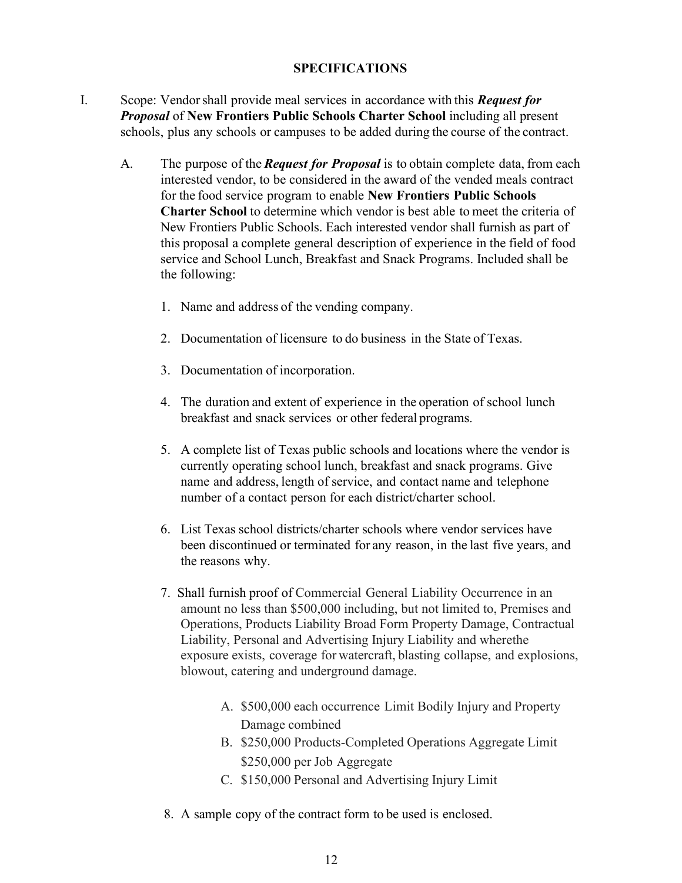#### **SPECIFICATIONS**

- I. Scope: Vendor shall provide meal services in accordance with this *Request for Proposal* of **New Frontiers Public Schools Charter School** including all present schools, plus any schools or campuses to be added during the course of the contract.
	- A. The purpose of the *Request for Proposal* is to obtain complete data, from each interested vendor, to be considered in the award of the vended meals contract for the food service program to enable **New Frontiers Public Schools Charter School** to determine which vendor is best able to meet the criteria of New Frontiers Public Schools. Each interested vendor shall furnish as part of this proposal a complete general description of experience in the field of food service and School Lunch, Breakfast and Snack Programs. Included shall be the following:
		- 1. Name and address of the vending company.
		- 2. Documentation of licensure to do business in the State of Texas.
		- 3. Documentation of incorporation.
		- 4. The duration and extent of experience in the operation of school lunch breakfast and snack services or other federal programs.
		- 5. A complete list of Texas public schools and locations where the vendor is currently operating school lunch, breakfast and snack programs. Give name and address, length of service, and contact name and telephone number of a contact person for each district/charter school.
		- 6. List Texas school districts/charter schools where vendor services have been discontinued or terminated for any reason, in the last five years, and the reasons why.
		- 7. Shall furnish proof of Commercial General Liability Occurrence in an amount no less than \$500,000 including, but not limited to, Premises and Operations, Products Liability Broad Form Property Damage, Contractual Liability, Personal and Advertising Injury Liability and where the exposure exists, coverage for watercraft, blasting collapse, and explosions, blowout, catering and underground damage.
			- A. \$500,000 each occurrence Limit Bodily Injury and Property Damage combined
			- B. \$250,000 Products-Completed Operations Aggregate Limit \$250,000 per Job Aggregate
			- C. \$150,000 Personal and Advertising Injury Limit
		- 8. A sample copy of the contract form to be used is enclosed.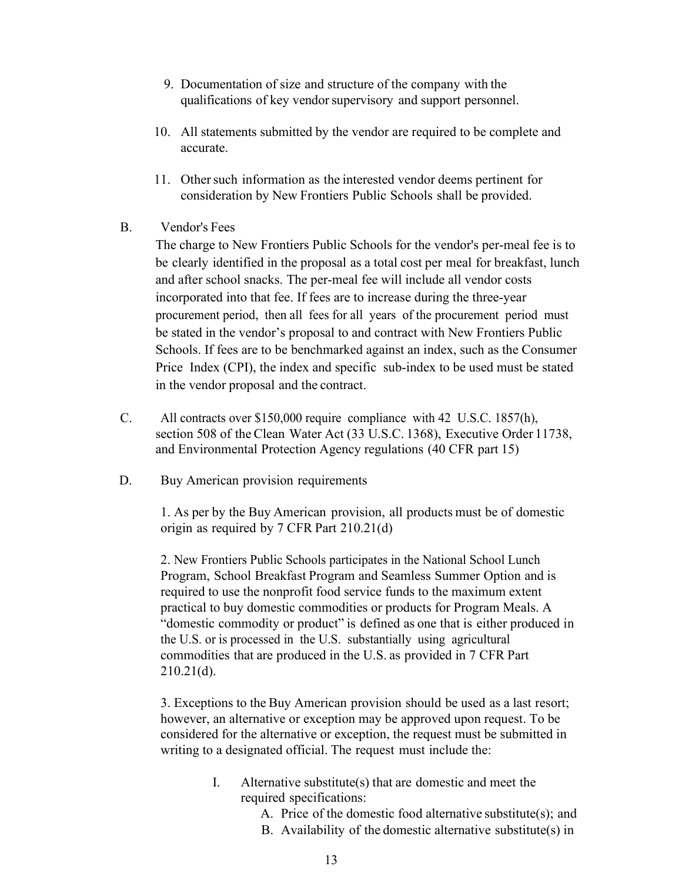- 9. Documentation of size and structure of the company with the qualifications of key vendor supervisory and support personnel.
- 10. All statements submitted by the vendor are required to be complete and accurate.
- 11. Other such information as the interested vendor deems pertinent for consideration by New Frontiers Public Schools shall be provided.
- B. Vendor's Fees

The charge to New Frontiers Public Schools for the vendor's per-meal fee is to be clearly identified in the proposal as a total cost per meal for breakfast, lunch and after school snacks. The per-meal fee will include all vendor costs incorporated into that fee. If fees are to increase during the three-year procurement period, then all fees for all years of the procurement period must be stated in the vendor's proposal to and contract with New Frontiers Public Schools. If fees are to be benchmarked against an index, such as the Consumer Price Index (CPI), the index and specific sub-index to be used must be stated in the vendor proposal and the contract.

- C. All contracts over \$150,000 require compliance with 42 U.S.C. 1857(h), section 508 of the Clean Water Act (33 U.S.C. 1368), Executive Order 11738, and Environmental Protection Agency regulations (40 CFR part 15)
- D. Buy American provision requirements

1. As per by the Buy American provision, all products must be of domestic origin as required by 7 CFR Part 210.21(d)

2. New Frontiers Public Schools participates in the National School Lunch Program, School Breakfast Program and Seamless Summer Option and is required to use the nonprofit food service funds to the maximum extent practical to buy domestic commodities or products for Program Meals. A "domestic commodity or product" is defined as one that is either produced in the U.S. or is processed in the U.S. substantially using agricultural commodities that are produced in the U.S. as provided in 7 CFR Part  $210.21(d)$ .

3. Exceptions to the Buy American provision should be used as a last resort; however, an alternative or exception may be approved upon request. To be considered for the alternative or exception, the request must be submitted in writing to a designated official. The request must include the:

- I. Alternative substitute(s) that are domestic and meet the required specifications:
	- A. Price of the domestic food alternative substitute(s); and
	- B. Availability of the domestic alternative substitute(s) in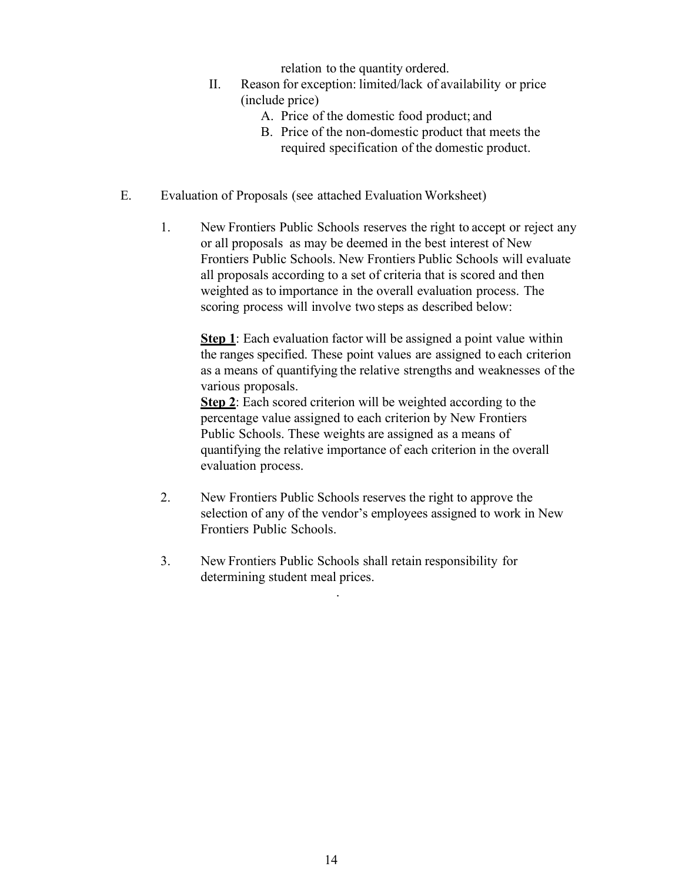relation to the quantity ordered.

- II. Reason for exception: limited/lack of availability or price (include price)
	- A. Price of the domestic food product; and
	- B. Price of the non-domestic product that meets the required specification of the domestic product.
- E. Evaluation of Proposals (see attached Evaluation Worksheet)
	- 1. New Frontiers Public Schools reserves the right to accept or reject any or all proposals as may be deemed in the best interest of New Frontiers Public Schools. New Frontiers Public Schools will evaluate all proposals according to a set of criteria that is scored and then weighted as to importance in the overall evaluation process. The scoring process will involve two steps as described below:

**Step 1**: Each evaluation factor will be assigned a point value within the ranges specified. These point values are assigned to each criterion as a means of quantifying the relative strengths and weaknesses of the various proposals.

**Step 2**: Each scored criterion will be weighted according to the percentage value assigned to each criterion by New Frontiers Public Schools. These weights are assigned as a means of quantifying the relative importance of each criterion in the overall evaluation process.

- 2. New Frontiers Public Schools reserves the right to approve the selection of any of the vendor's employees assigned to work in New Frontiers Public Schools.
- 3. New Frontiers Public Schools shall retain responsibility for determining student meal prices.

.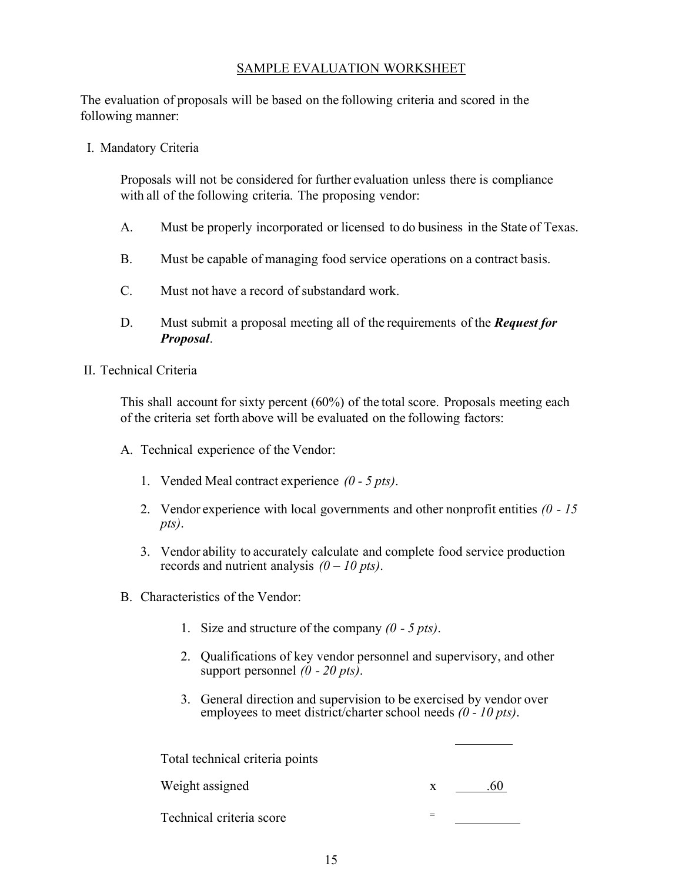#### SAMPLE EVALUATION WORKSHEET

The evaluation of proposals will be based on the following criteria and scored in the following manner:

I. Mandatory Criteria

Proposals will not be considered for further evaluation unless there is compliance with all of the following criteria. The proposing vendor:

- A. Must be properly incorporated or licensed to do business in the State of Texas.
- B. Must be capable of managing food service operations on a contract basis.
- C. Must not have a record of substandard work.
- D. Must submit a proposal meeting all of the requirements of the *Request for Proposal*.
- II. Technical Criteria

This shall account for sixty percent (60%) of the total score. Proposals meeting each of the criteria set forth above will be evaluated on the following factors:

- A. Technical experience of the Vendor:
	- 1. Vended Meal contract experience *(0 5 pts)*.
	- 2. Vendor experience with local governments and other nonprofit entities *(0 15 pts)*.
	- 3. Vendor ability to accurately calculate and complete food service production records and nutrient analysis *(0 – 10 pts)*.
- B. Characteristics of the Vendor:
	- 1. Size and structure of the company *(0 5 pts)*.
	- 2. Qualifications of key vendor personnel and supervisory, and other support personnel *(0 - 20 pts)*.
	- 3. General direction and supervision to be exercised by vendor over employees to meet district/charter school needs *(0 - 10 pts)*.

Total technical criteria points

| Weight assigned          |  |
|--------------------------|--|
| Technical criteria score |  |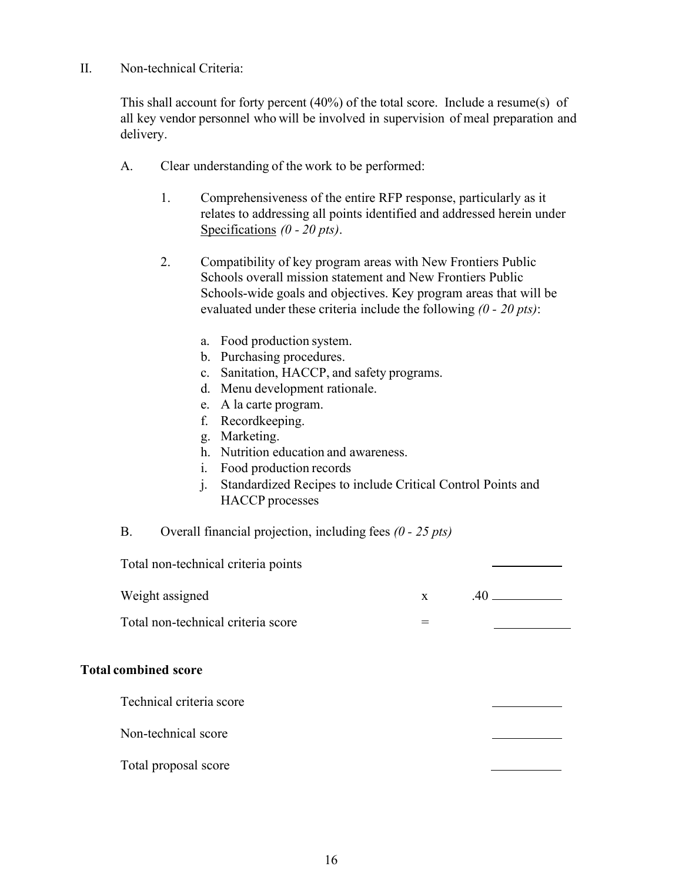II. Non-technical Criteria:

This shall account for forty percent (40%) of the total score. Include a resume(s) of all key vendor personnel who will be involved in supervision of meal preparation and delivery.

- A. Clear understanding of the work to be performed:
	- 1. Comprehensiveness of the entire RFP response, particularly as it relates to addressing all points identified and addressed herein under Specifications *(0 - 20 pts)*.
	- 2. Compatibility of key program areas with New Frontiers Public Schools overall mission statement and New Frontiers Public Schools-wide goals and objectives. Key program areas that will be evaluated under these criteria include the following *(0 - 20 pts)*:
		- a. Food production system.
		- b. Purchasing procedures.
		- c. Sanitation, HACCP, and safety programs.
		- d. Menu development rationale.
		- e. A la carte program.
		- f. Recordkeeping.
		- g. Marketing.
		- h. Nutrition education and awareness.
		- i. Food production records
		- j. Standardized Recipes to include Critical Control Points and HACCP processes
- B. Overall financial projection, including fees *(0 25 pts)*

| Total non-technical criteria points |              |     |
|-------------------------------------|--------------|-----|
| Weight assigned                     | $\mathbf{x}$ | .40 |
| Total non-technical criteria score  | $=$          |     |
| <b>Total combined score</b>         |              |     |
| Technical criteria score            |              |     |
| Non-technical score                 |              |     |
| Total proposal score                |              |     |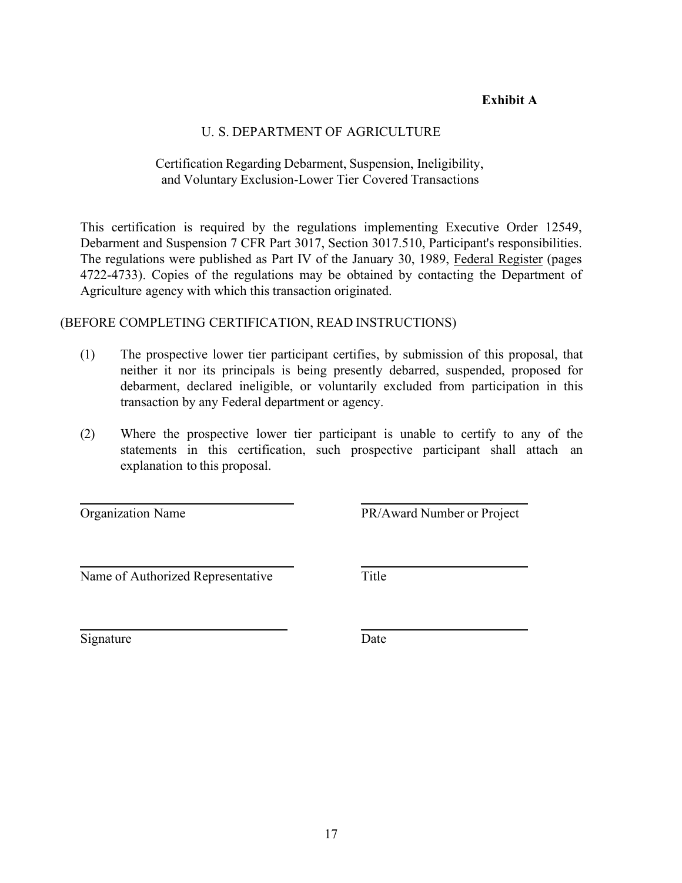#### **Exhibit A**

#### U. S. DEPARTMENT OF AGRICULTURE

#### Certification Regarding Debarment, Suspension, Ineligibility, and Voluntary Exclusion-Lower Tier Covered Transactions

This certification is required by the regulations implementing Executive Order 12549, Debarment and Suspension 7 CFR Part 3017, Section 3017.510, Participant's responsibilities. The regulations were published as Part IV of the January 30, 1989, Federal Register (pages 4722-4733). Copies of the regulations may be obtained by contacting the Department of Agriculture agency with which this transaction originated.

#### (BEFORE COMPLETING CERTIFICATION, READ INSTRUCTIONS)

- (1) The prospective lower tier participant certifies, by submission of this proposal, that neither it nor its principals is being presently debarred, suspended, proposed for debarment, declared ineligible, or voluntarily excluded from participation in this transaction by any Federal department or agency.
- (2) Where the prospective lower tier participant is unable to certify to any of the statements in this certification, such prospective participant shall attach an explanation to this proposal.

Organization Name PR/Award Number or Project

Name of Authorized Representative Title

Signature Date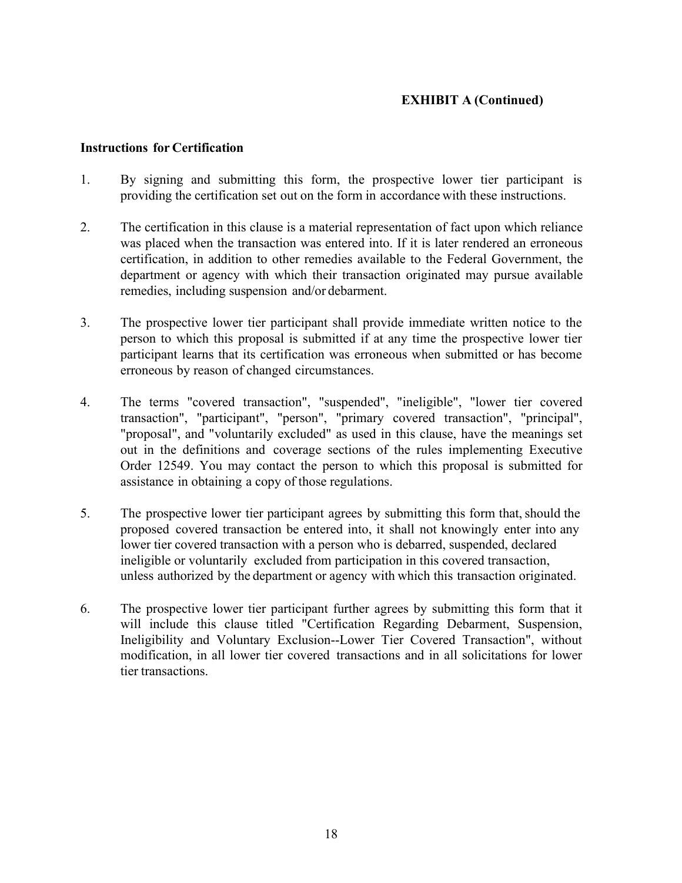#### **EXHIBIT A (Continued)**

#### **Instructions for Certification**

- 1. By signing and submitting this form, the prospective lower tier participant is providing the certification set out on the form in accordance with these instructions.
- 2. The certification in this clause is a material representation of fact upon which reliance was placed when the transaction was entered into. If it is later rendered an erroneous certification, in addition to other remedies available to the Federal Government, the department or agency with which their transaction originated may pursue available remedies, including suspension and/or debarment.
- 3. The prospective lower tier participant shall provide immediate written notice to the person to which this proposal is submitted if at any time the prospective lower tier participant learns that its certification was erroneous when submitted or has become erroneous by reason of changed circumstances.
- 4. The terms "covered transaction", "suspended", "ineligible", "lower tier covered transaction", "participant", "person", "primary covered transaction", "principal", "proposal", and "voluntarily excluded" as used in this clause, have the meanings set out in the definitions and coverage sections of the rules implementing Executive Order 12549. You may contact the person to which this proposal is submitted for assistance in obtaining a copy of those regulations.
- 5. The prospective lower tier participant agrees by submitting this form that, should the proposed covered transaction be entered into, it shall not knowingly enter into any lower tier covered transaction with a person who is debarred, suspended, declared ineligible or voluntarily excluded from participation in this covered transaction, unless authorized by the department or agency with which this transaction originated.
- 6. The prospective lower tier participant further agrees by submitting this form that it will include this clause titled "Certification Regarding Debarment, Suspension, Ineligibility and Voluntary Exclusion--Lower Tier Covered Transaction", without modification, in all lower tier covered transactions and in all solicitations for lower tier transactions.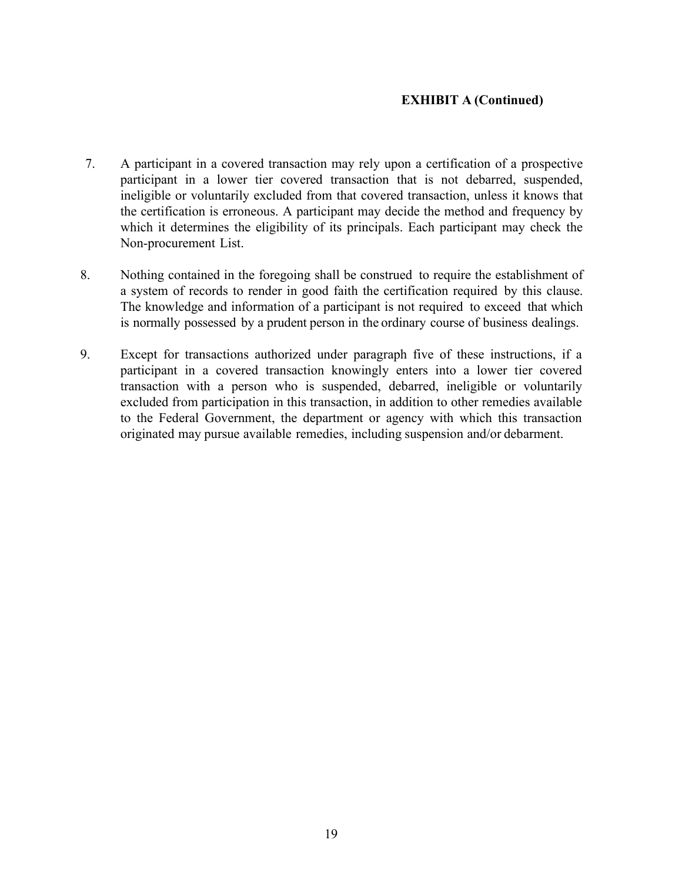#### **EXHIBIT A (Continued)**

- 7. A participant in a covered transaction may rely upon a certification of a prospective participant in a lower tier covered transaction that is not debarred, suspended, ineligible or voluntarily excluded from that covered transaction, unless it knows that the certification is erroneous. A participant may decide the method and frequency by which it determines the eligibility of its principals. Each participant may check the Non-procurement List.
- 8. Nothing contained in the foregoing shall be construed to require the establishment of a system of records to render in good faith the certification required by this clause. The knowledge and information of a participant is not required to exceed that which is normally possessed by a prudent person in the ordinary course of business dealings.
- 9. Except for transactions authorized under paragraph five of these instructions, if a participant in a covered transaction knowingly enters into a lower tier covered transaction with a person who is suspended, debarred, ineligible or voluntarily excluded from participation in this transaction, in addition to other remedies available to the Federal Government, the department or agency with which this transaction originated may pursue available remedies, including suspension and/or debarment.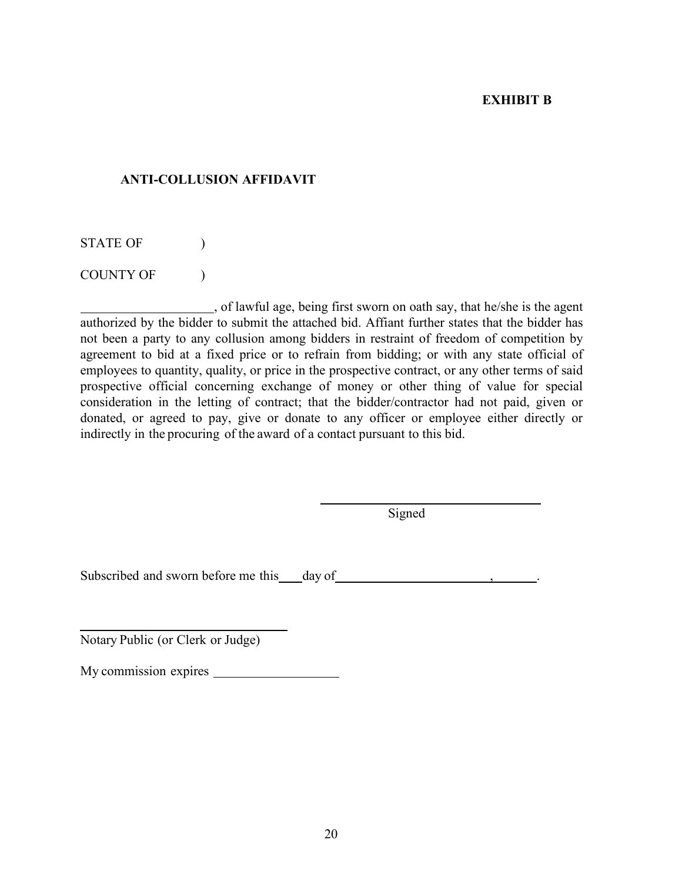#### **EXHIBIT B**

#### **ANTI-COLLUSION AFFIDAVIT**

STATE OF  $\qquad$  )

COUNTY OF  $\qquad$  )

, of lawful age, being first sworn on oath say, that he/she is the agent authorized by the bidder to submit the attached bid. Affiant further states that the bidder has not been a party to any collusion among bidders in restraint of freedom of competition by agreement to bid at a fixed price or to refrain from bidding; or with any state official of employees to quantity, quality, or price in the prospective contract, or any other terms of said prospective official concerning exchange of money or other thing of value for special consideration in the letting of contract; that the bidder/contractor had not paid, given or donated, or agreed to pay, give or donate to any officer or employee either directly or indirectly in the procuring of the award of a contact pursuant to this bid.

**Signed** 

Subscribed and sworn before me this day of , .

Notary Public (or Clerk or Judge)

My commission expires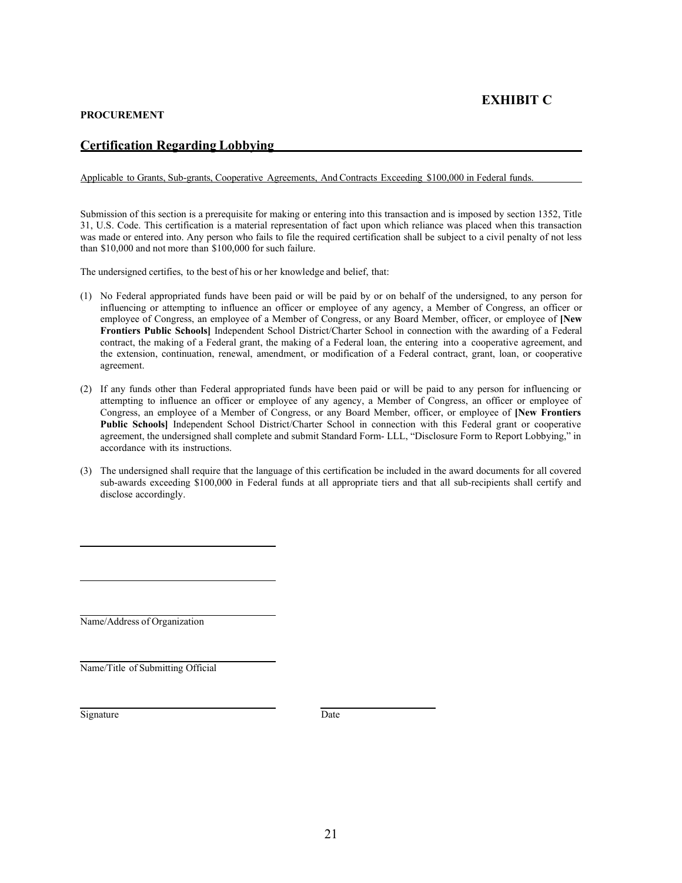#### **PROCUREMENT**

#### **Certification Regarding Lobbying**

Applicable to Grants, Sub-grants, Cooperative Agreements, And Contracts Exceeding \$100,000 in Federal funds.

Submission of this section is a prerequisite for making or entering into this transaction and is imposed by section 1352, Title 31, U.S. Code. This certification is a material representation of fact upon which reliance was placed when this transaction was made or entered into. Any person who fails to file the required certification shall be subject to a civil penalty of not less than \$10,000 and not more than \$100,000 for such failure.

The undersigned certifies, to the best of his or her knowledge and belief, that:

- (1) No Federal appropriated funds have been paid or will be paid by or on behalf of the undersigned, to any person for influencing or attempting to influence an officer or employee of any agency, a Member of Congress, an officer or employee of Congress, an employee of a Member of Congress, or any Board Member, officer, or employee of **[New Frontiers Public Schools]** Independent School District/Charter School in connection with the awarding of a Federal contract, the making of a Federal grant, the making of a Federal loan, the entering into a cooperative agreement, and the extension, continuation, renewal, amendment, or modification of a Federal contract, grant, loan, or cooperative agreement.
- (2) If any funds other than Federal appropriated funds have been paid or will be paid to any person for influencing or attempting to influence an officer or employee of any agency, a Member of Congress, an officer or employee of Congress, an employee of a Member of Congress, or any Board Member, officer, or employee of **[New Frontiers** Public Schools] Independent School District/Charter School in connection with this Federal grant or cooperative agreement, the undersigned shall complete and submit Standard Form- LLL, "Disclosure Form to Report Lobbying," in accordance with its instructions.
- (3) The undersigned shall require that the language of this certification be included in the award documents for all covered sub-awards exceeding \$100,000 in Federal funds at all appropriate tiers and that all sub-recipients shall certify and disclose accordingly.

Name/Address of Organization

Name/Title of Submitting Official

Signature Date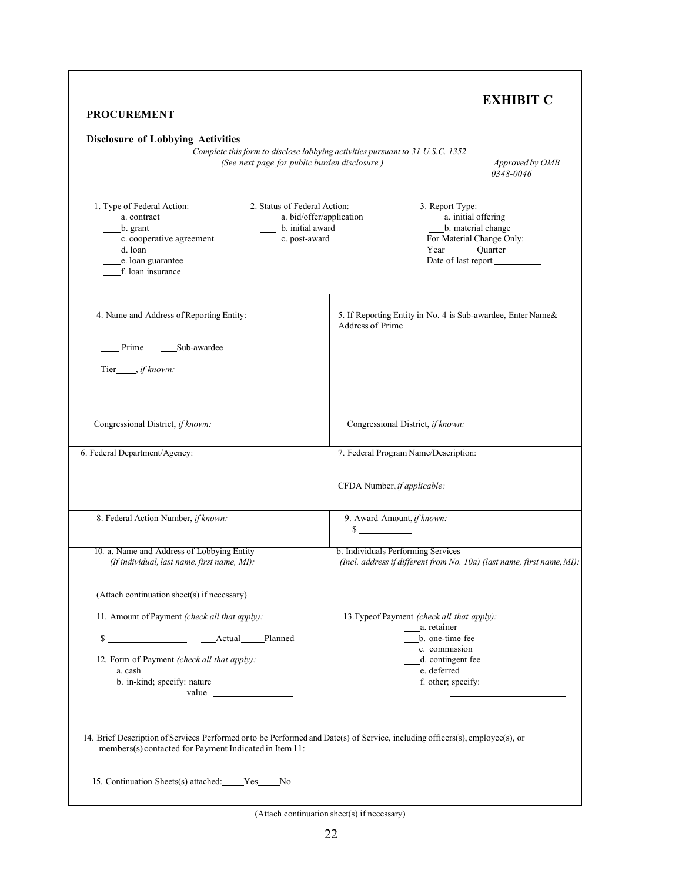| <b>PROCUREMENT</b>                                                                                                                                                                                                                              | <b>EXHIBIT C</b>                                                                                                                                             |
|-------------------------------------------------------------------------------------------------------------------------------------------------------------------------------------------------------------------------------------------------|--------------------------------------------------------------------------------------------------------------------------------------------------------------|
| <b>Disclosure of Lobbying Activities</b><br>(See next page for public burden disclosure.)                                                                                                                                                       | Complete this form to disclose lobbying activities pursuant to 31 U.S.C. 1352<br>Approved by OMB<br>0348-0046                                                |
| 2. Status of Federal Action:<br>1. Type of Federal Action:<br>a. bid/offer/application<br>a. contract<br>b. grant<br>b. initial award<br>c. cooperative agreement<br>_______ c. post-award<br>d. loan<br>e. loan guarantee<br>f. loan insurance | 3. Report Type:<br>_____ a. initial offering<br>b. material change<br>For Material Change Only:<br>Year Quarter<br>Date of last report                       |
| 4. Name and Address of Reporting Entity:                                                                                                                                                                                                        | 5. If Reporting Entity in No. 4 is Sub-awardee, Enter Name&<br><b>Address of Prime</b>                                                                       |
| Prime<br>Sub-awardee<br>Tier_____, if known:                                                                                                                                                                                                    |                                                                                                                                                              |
| Congressional District, if known:                                                                                                                                                                                                               | Congressional District, if known:                                                                                                                            |
| 6. Federal Department/Agency:                                                                                                                                                                                                                   | 7. Federal Program Name/Description:                                                                                                                         |
|                                                                                                                                                                                                                                                 |                                                                                                                                                              |
| 8. Federal Action Number, if known:                                                                                                                                                                                                             | 9. Award Amount, if known:<br>$\mathcal{S}$                                                                                                                  |
| 10. a. Name and Address of Lobbying Entity<br>(If individual, last name, first name, MI):                                                                                                                                                       | b. Individuals Performing Services<br>(Incl. address if different from No. 10a) (last name, first name, MI):                                                 |
| (Attach continuation sheet(s) if necessary)                                                                                                                                                                                                     |                                                                                                                                                              |
| 11. Amount of Payment (check all that apply):<br>$\frac{\text{S}}{\text{Actual}}$ Actual<br>Planned<br>12. Form of Payment (check all that apply):<br>a. cash<br>b. in-kind; specify: nature<br>value $\qquad \qquad$                           | 13. Typeof Payment (check all that apply):<br>a. retainer<br>b. one-time fee<br>c. commission<br>___d. contingent fee<br>e. deferred<br>$f.$ other; specify: |
| 14. Brief Description of Services Performed or to be Performed and Date(s) of Service, including officers(s), employee(s), or<br>members(s) contacted for Payment Indicated in Item 11:                                                         |                                                                                                                                                              |

(Attach continuation sheet(s) if necessary)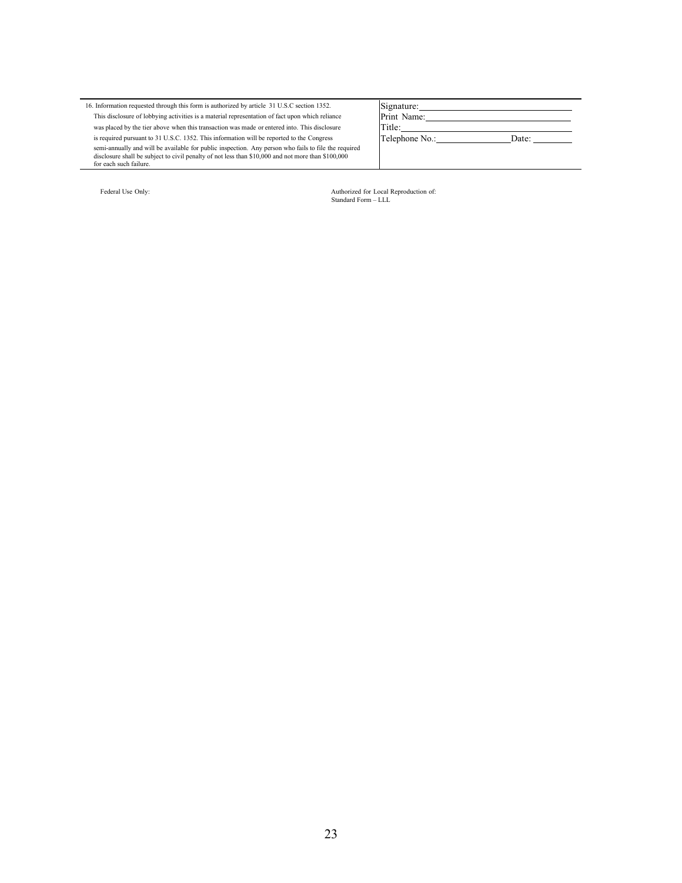16. Information requested through this form is authorized by article 31 U.S.C section 1352. This disclosure of lobbying activities is a material representation of fact upon which reliance was placed by the tier above when this transaction was made or entered into. This disclosure is required pursuant to 31 U.S.C. 1352. This information will be reported to the Congress semi-annually and will be available for public inspection. Any person who fails to file the required disclosure shall be subject to civil penalty of not less than \$10,000 and not more than \$100,000 for each such failure.

| Federal Use Only: |  |  |  |  |
|-------------------|--|--|--|--|
|-------------------|--|--|--|--|

Telephone No.: \_\_\_\_\_\_\_\_\_\_\_\_\_\_\_\_\_\_\_\_\_\_\_\_\_Date:

Signature: Print Name: Title:

Federal Use Only: Authorized for Local Reproduction of: Standard Form – LLL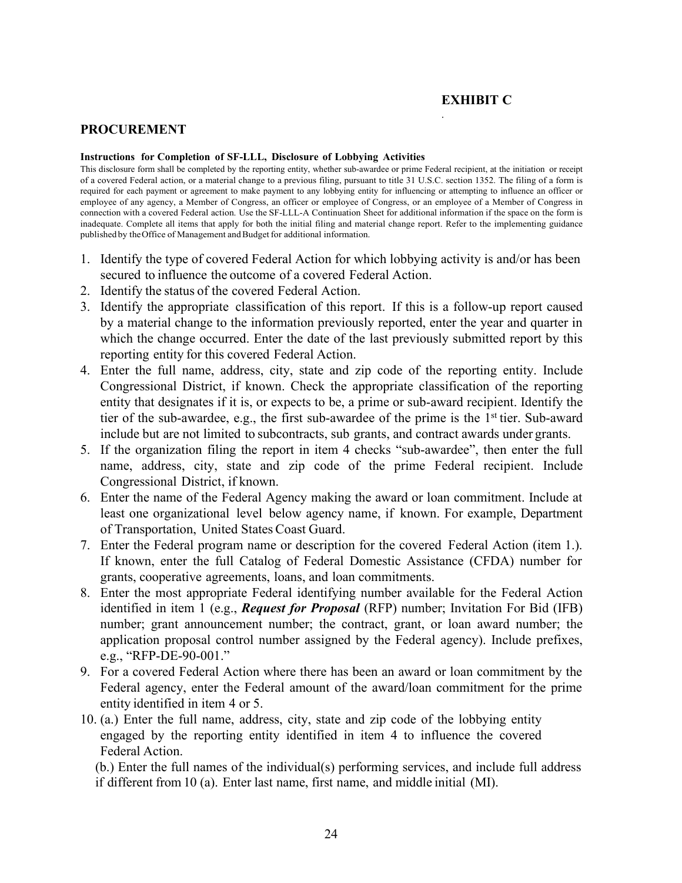#### **EXHIBIT C**

.

#### **PROCUREMENT**

#### **Instructions for Completion of SF-LLL, Disclosure of Lobbying Activities**

This disclosure form shall be completed by the reporting entity, whether sub-awardee or prime Federal recipient, at the initiation or receipt of a covered Federal action, or a material change to a previous filing, pursuant to title 31 U.S.C. section 1352. The filing of a form is required for each payment or agreement to make payment to any lobbying entity for influencing or attempting to influence an officer or employee of any agency, a Member of Congress, an officer or employee of Congress, or an employee of a Member of Congress in connection with a covered Federal action. Use the SF-LLL-A Continuation Sheet for additional information if the space on the form is inadequate. Complete all items that apply for both the initial filing and material change report. Refer to the implementing guidance published by the Office of Management and Budget for additional information.

- 1. Identify the type of covered Federal Action for which lobbying activity is and/or has been secured to influence the outcome of a covered Federal Action.
- 2. Identify the status of the covered Federal Action.
- 3. Identify the appropriate classification of this report. If this is a follow-up report caused by a material change to the information previously reported, enter the year and quarter in which the change occurred. Enter the date of the last previously submitted report by this reporting entity for this covered Federal Action.
- 4. Enter the full name, address, city, state and zip code of the reporting entity. Include Congressional District, if known. Check the appropriate classification of the reporting entity that designates if it is, or expects to be, a prime or sub-award recipient. Identify the tier of the sub-awardee, e.g., the first sub-awardee of the prime is the  $1<sup>st</sup>$  tier. Sub-award include but are not limited to subcontracts, sub grants, and contract awards under grants.
- 5. If the organization filing the report in item 4 checks "sub-awardee", then enter the full name, address, city, state and zip code of the prime Federal recipient. Include Congressional District, if known.
- 6. Enter the name of the Federal Agency making the award or loan commitment. Include at least one organizational level below agency name, if known. For example, Department of Transportation, United States Coast Guard.
- 7. Enter the Federal program name or description for the covered Federal Action (item 1.). If known, enter the full Catalog of Federal Domestic Assistance (CFDA) number for grants, cooperative agreements, loans, and loan commitments.
- 8. Enter the most appropriate Federal identifying number available for the Federal Action identified in item 1 (e.g., *Request for Proposal* (RFP) number; Invitation For Bid (IFB) number; grant announcement number; the contract, grant, or loan award number; the application proposal control number assigned by the Federal agency). Include prefixes, e.g., "RFP-DE-90-001."
- 9. For a covered Federal Action where there has been an award or loan commitment by the Federal agency, enter the Federal amount of the award/loan commitment for the prime entity identified in item 4 or 5.
- 10. (a.) Enter the full name, address, city, state and zip code of the lobbying entity engaged by the reporting entity identified in item 4 to influence the covered Federal Action.

(b.) Enter the full names of the individual(s) performing services, and include full address if different from 10 (a). Enter last name, first name, and middle initial (MI).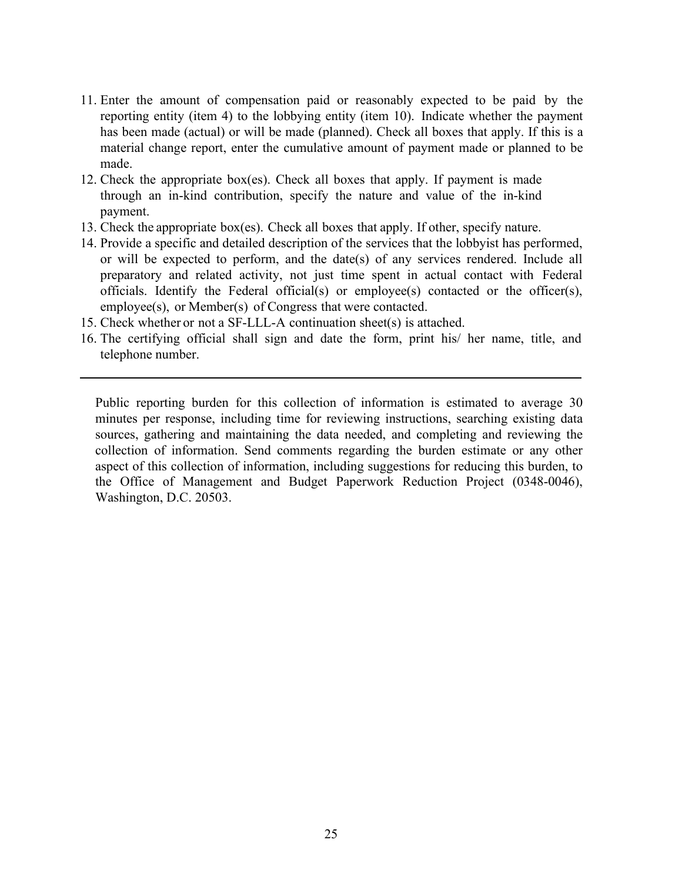- 11. Enter the amount of compensation paid or reasonably expected to be paid by the reporting entity (item 4) to the lobbying entity (item 10). Indicate whether the payment has been made (actual) or will be made (planned). Check all boxes that apply. If this is a material change report, enter the cumulative amount of payment made or planned to be made.
- 12. Check the appropriate box(es). Check all boxes that apply. If payment is made through an in-kind contribution, specify the nature and value of the in-kind payment.
- 13. Check the appropriate box(es). Check all boxes that apply. If other, specify nature.
- 14. Provide a specific and detailed description of the services that the lobbyist has performed, or will be expected to perform, and the date(s) of any services rendered. Include all preparatory and related activity, not just time spent in actual contact with Federal officials. Identify the Federal official(s) or employee(s) contacted or the officer(s), employee(s), or Member(s) of Congress that were contacted.
- 15. Check whether or not a SF-LLL-A continuation sheet(s) is attached.
- 16. The certifying official shall sign and date the form, print his/ her name, title, and telephone number.

Public reporting burden for this collection of information is estimated to average 30 minutes per response, including time for reviewing instructions, searching existing data sources, gathering and maintaining the data needed, and completing and reviewing the collection of information. Send comments regarding the burden estimate or any other aspect of this collection of information, including suggestions for reducing this burden, to the Office of Management and Budget Paperwork Reduction Project (0348-0046), Washington, D.C. 20503.